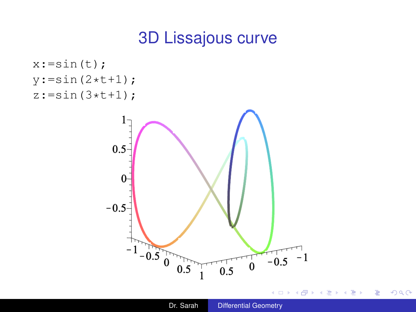## 3D Lissajous curve

<span id="page-0-0"></span>

4日下 ← r n n ×  $\sim$ 

ミメス ヨメ

÷.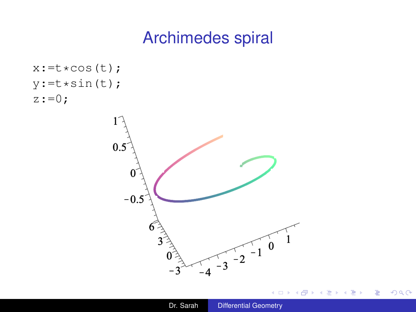# Archimedes spiral

```
x:=t*cos(t);y:=t*sin(t);z:=0;
```


4 0 8

∢母 ×  $\mathcal{A}$   $299$ 

B

 $\rightarrow$ 

重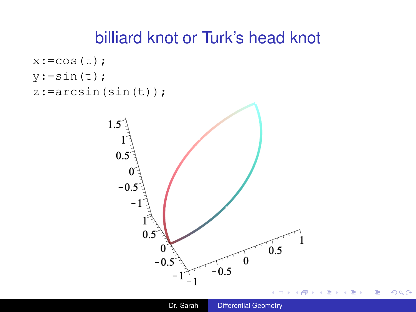### billiard knot or Turk's head knot

```
x: = cos(t);y:=\sin(t);
z:=arcsin(sin(t));
```


 $\equiv$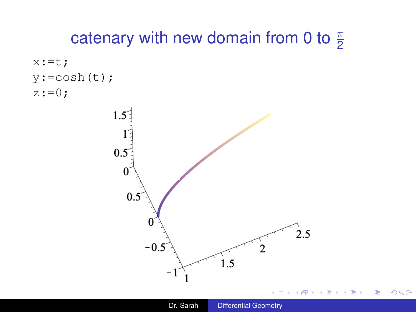# catenary with new domain from 0 to  $\frac{\pi}{2}$





4 0 8 ∢ @ × ÷.

B

 $\rightarrow$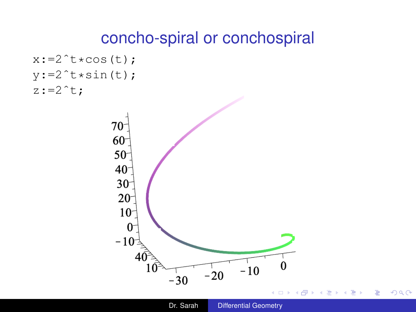#### concho-spiral or conchospiral

```
x:=2<sup>\rightarrow</sup>t\starcos(t);
y:=2<sup>\text{tx}</sup>sin(t);
z:=2^t;
```


重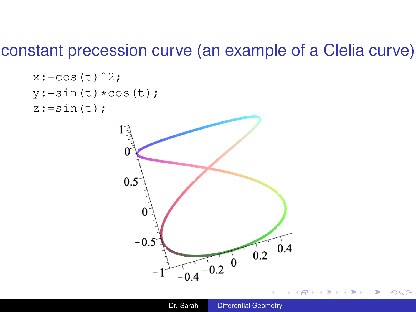#### constant precession curve (an example of a Clelia curve)



 $299$ 

B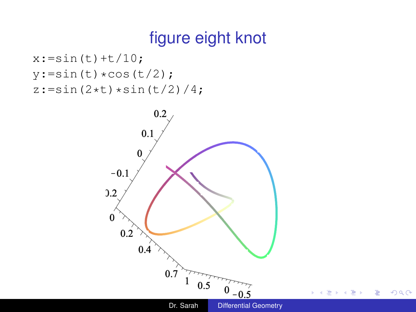# figure eight knot

```
x:=\sin(t)+t/10;y:=\sin(t)*\cos(t/2);z:=\sin(2*t)*\sin(t/2)/4;
```
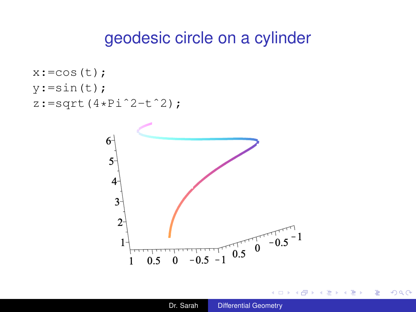#### geodesic circle on a cylinder

```
x: = cos(t);y:=\sin(t);z:=sqrt(4*Pi^22-t^2);
```


4 0 8

۰

÷.

Þ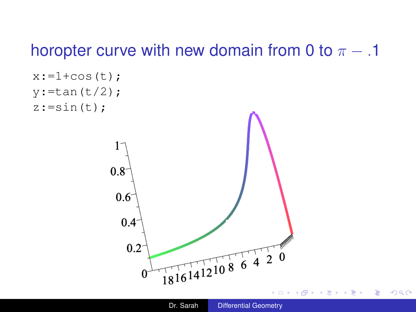## horopter curve with new domain from 0 to  $\pi$  – .1

```
x:=1+\cos(t);y:=tan(t/2);
z:=\sin(t);0.8<sup>°</sup>0.6<sup>°</sup>0.4<sup>2</sup>0.2181614121086420
```
4 0 8 ∢母 ×  $\equiv$ 

B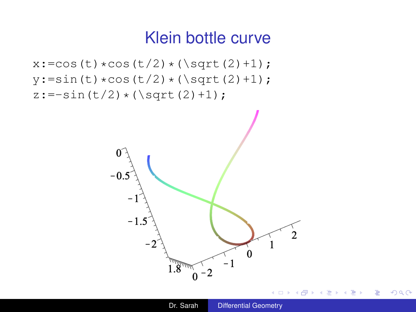#### Klein bottle curve

 $x: = \cos(t) * \cos(t/2) * (\sqrt{\sqrt{2}})$ ;  $y:=\sin(t)*\cos(t/2)*(\sqrt{\sqrt{2}})$ ;  $z:=-\sin(t/2) * (\sqrt{\sqrt{2}}t)(2) + 1);$ 



 $299$ 

B

∍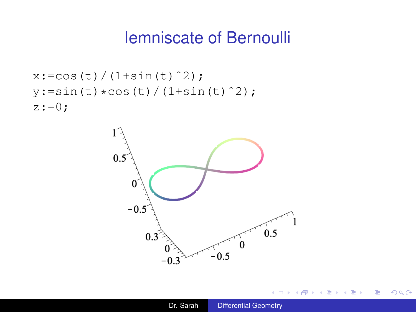### lemniscate of Bernoulli

```
x: = \cos(t) / (1 + \sin(t)^2);y:=\sin(t)*\cos(t)/(1+\sin(t)^2);z:=0;
```


4 0 8

← 伊 ▶ - 4 周 ト ÷.

4 重っ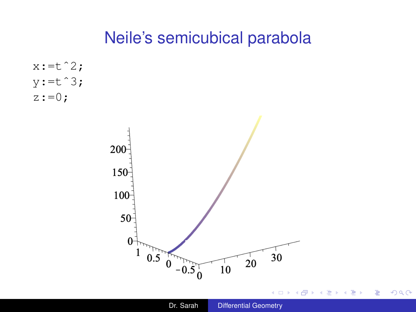## Neile's semicubical parabola

 $x:=t^2;$  $y:=t^3;$  $z:=0$ ;



 $A\equiv \mathbb{R} \Rightarrow A\equiv \mathbb{R}$ 

重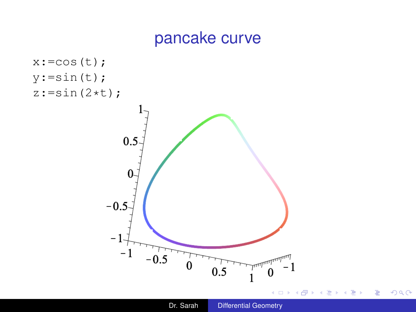## pancake curve



 $2990$ 

重

 $\mathbf{y} \rightarrow \mathbf{z}$ 

É

包

×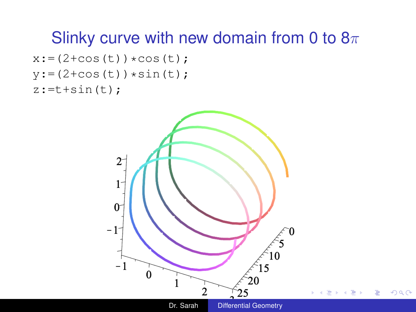## Slinky curve with new domain from 0 to  $8\pi$

```
x:=(2+\cos(t))\star\cos(t);y:=(2+\cos(t))\times\sin(t);z:=t+sin(t);
```
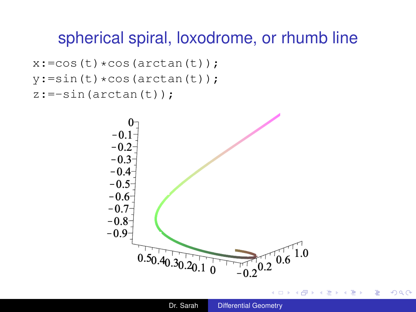## spherical spiral, loxodrome, or rhumb line

```
x: = \cos(t) * \cos(\arctan(t));y:=\sin(t)*\cos(\arctan(t));z:=-sin(arctan(t));
```


ă

∢ Al

 $2Q$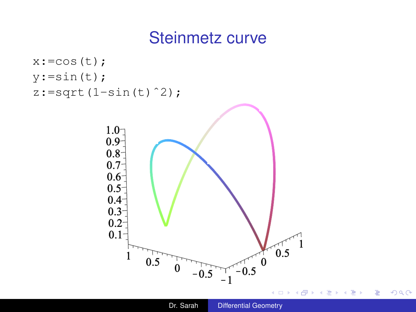## Steinmetz curve



÷.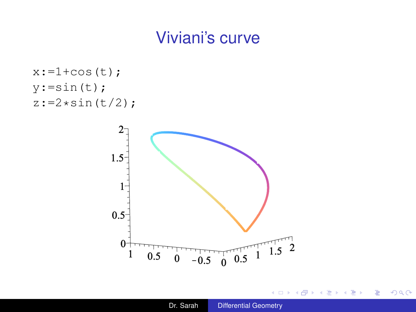# Viviani's curve

```
x:=1+\cos(t);y:=\sin(t);z:=2*sin(t/2);
```


4日下

∢母 ×  $\sim$ **B** ×.

活

重

重き